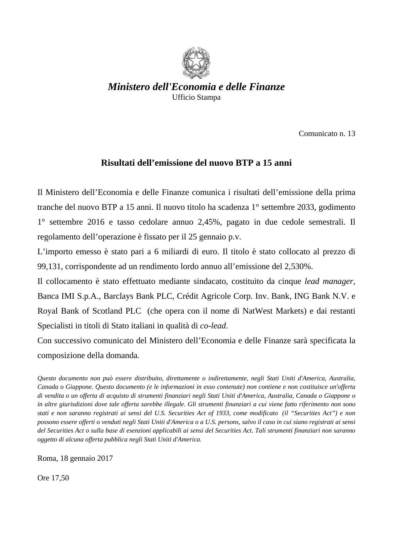

*Ministero dell'Economia e delle Finanze*  Ufficio Stampa

Comunicato n. 13

## **Risultati dell'emissione del nuovo BTP a 15 anni**

Il Ministero dell'Economia e delle Finanze comunica i risultati dell'emissione della prima tranche del nuovo BTP a 15 anni. Il nuovo titolo ha scadenza 1° settembre 2033, godimento 1° settembre 2016 e tasso cedolare annuo 2,45%, pagato in due cedole semestrali. Il regolamento dell'operazione è fissato per il 25 gennaio p.v.

L'importo emesso è stato pari a 6 miliardi di euro. Il titolo è stato collocato al prezzo di 99,131, corrispondente ad un rendimento lordo annuo all'emissione del 2,530%.

Il collocamento è stato effettuato mediante sindacato, costituito da cinque *lead manager*, Banca IMI S.p.A., Barclays Bank PLC, Crédit Agricole Corp. Inv. Bank, ING Bank N.V. e Royal Bank of Scotland PLC (che opera con il nome di NatWest Markets) e dai restanti Specialisti in titoli di Stato italiani in qualità di *co-lead*.

Con successivo comunicato del Ministero dell'Economia e delle Finanze sarà specificata la composizione della domanda.

*Questo documento non può essere distribuito, direttamente o indirettamente, negli Stati Uniti d'America, Australia, Canada o Giappone. Questo documento (e le informazioni in esso contenute) non contiene e non costituisce un'offerta di vendita o un offerta di acquisto di strumenti finanziari negli Stati Uniti d'America, Australia, Canada o Giappone o in altre giurisdizioni dove tale offerta sarebbe illegale. Gli strumenti finanziari a cui viene fatto riferimento non sono stati e non saranno registrati ai sensi del U.S. Securities Act of 1933, come modificato (il "Securities Act") e non possono essere offerti o venduti negli Stati Uniti d'America o a U.S. persons, salvo il caso in cui siano registrati ai sensi del Securities Act o sulla base di esenzioni applicabili ai sensi del Securities Act. Tali strumenti finanziari non saranno oggetto di alcuna offerta pubblica negli Stati Uniti d'America.* 

Roma, 18 gennaio 2017

Ore 17,50